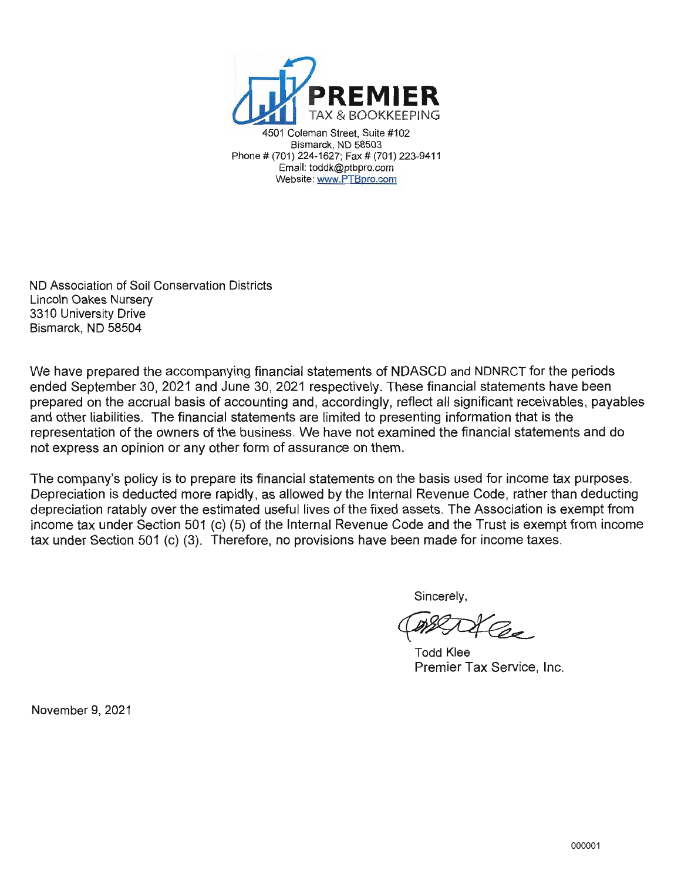

Coleman Street, Suite #102 Bismarck, ND 58503 Phone # (701) 224-1627; Fax # (701) 223-9411 Email: toddk@ptbpro.com Website: www.PTBpro.com

ND Association of Soil Conservation Districts Lincoln Oakes Nursery 3310 University Drive Bismarck, ND 58504

We have prepared the accompanying financial statements of NDASCD and NDNRCT for the periods ended September 30, 2021 and June 30, 2021 respectively. These financial statements have been prepared on the accrual basis of accounting and, accordingly, reflect all significant receivables, payables and other liabilities. The financial statements are limited to presenting information that is the representation of the owners of the business. We have not examined the financial statements and do not express an opinion or any other form of assurance on them.

The company's policy is to prepare its financial statements on the basis used for income tax purposes. Depreciation is deducted more rapidly, as allowed by the Internal Revenue Code, rather than deducting depreciation ratably over the estimated useful lives of the fixed assets. The Association is exempt from income tax under Section 501 (c) (5) of the Internal Revenue Code and the Trust is exempt from income tax under Section 501 (c) (3). Therefore, no provisions have been made for income taxes.

Sincerely,

Todd Klee Premier Tax Service, Inc.

November 9, 2021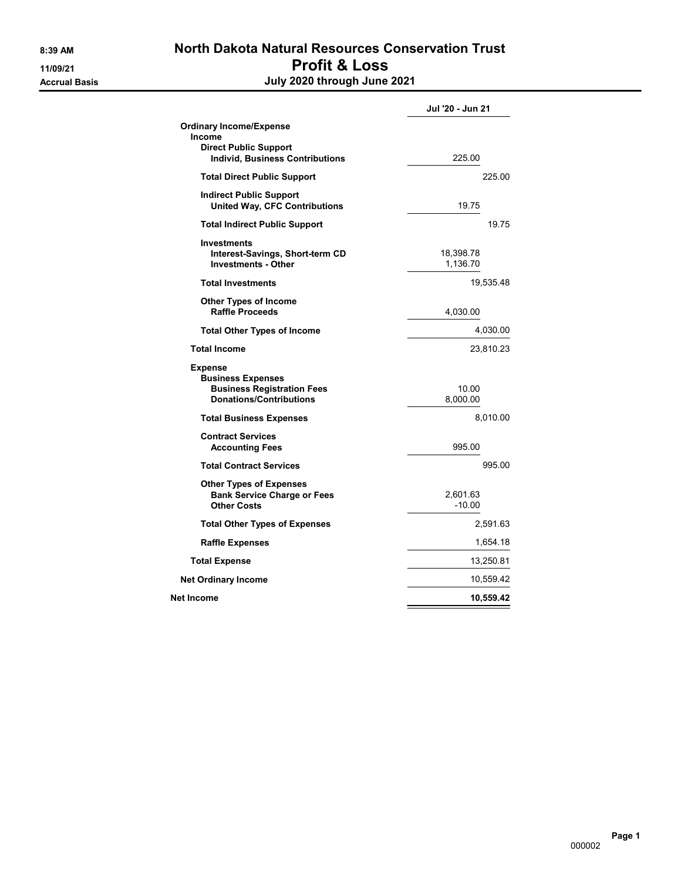#### 8:39 AM North Dakota Natural Resources Conservation Trust 11/09/21 Profit & Loss Accrual Basis July 2020 through June 2021

|                                                                                                                           | Jul '20 - Jun 21      |
|---------------------------------------------------------------------------------------------------------------------------|-----------------------|
| <b>Ordinary Income/Expense</b><br><b>Income</b><br><b>Direct Public Support</b><br><b>Individ, Business Contributions</b> | 225.00                |
|                                                                                                                           | 225.00                |
| <b>Total Direct Public Support</b>                                                                                        |                       |
| <b>Indirect Public Support</b><br><b>United Way, CFC Contributions</b>                                                    | 19.75                 |
| <b>Total Indirect Public Support</b>                                                                                      | 19.75                 |
| <b>Investments</b><br>Interest-Savings, Short-term CD<br><b>Investments - Other</b>                                       | 18,398.78<br>1,136.70 |
| <b>Total Investments</b>                                                                                                  | 19,535.48             |
| <b>Other Types of Income</b><br><b>Raffle Proceeds</b>                                                                    | 4,030.00              |
| <b>Total Other Types of Income</b>                                                                                        | 4,030.00              |
| <b>Total Income</b>                                                                                                       | 23,810.23             |
| <b>Expense</b><br><b>Business Expenses</b><br><b>Business Registration Fees</b><br><b>Donations/Contributions</b>         | 10.00<br>8,000.00     |
| <b>Total Business Expenses</b>                                                                                            | 8,010.00              |
| <b>Contract Services</b><br><b>Accounting Fees</b>                                                                        | 995.00                |
| <b>Total Contract Services</b>                                                                                            | 995.00                |
| <b>Other Types of Expenses</b><br><b>Bank Service Charge or Fees</b><br><b>Other Costs</b>                                | 2,601.63<br>$-10.00$  |
| <b>Total Other Types of Expenses</b>                                                                                      | 2,591.63              |
| <b>Raffle Expenses</b>                                                                                                    | 1,654.18              |
| <b>Total Expense</b>                                                                                                      | 13,250.81             |
| <b>Net Ordinary Income</b>                                                                                                | 10,559.42             |
| Net Income                                                                                                                | 10,559.42             |
|                                                                                                                           |                       |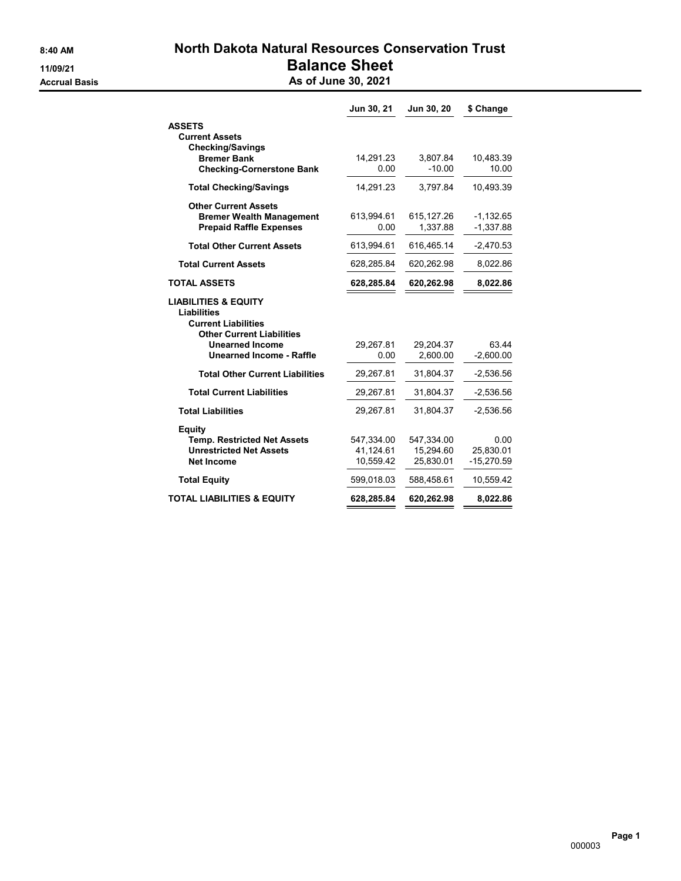## 8:40 AM North Dakota Natural Resources Conservation Trust 11/09/21 Balance Sheet

Accrual Basis **Accrual Basis** As of June 30, 2021

|                                                                                                                         | Jun 30, 21 | Jun 30, 20 | \$ Change   |
|-------------------------------------------------------------------------------------------------------------------------|------------|------------|-------------|
| <b>ASSETS</b>                                                                                                           |            |            |             |
| <b>Current Assets</b>                                                                                                   |            |            |             |
| <b>Checking/Savings</b><br><b>Bremer Bank</b>                                                                           | 14,291.23  | 3.807.84   | 10,483.39   |
| <b>Checking-Cornerstone Bank</b>                                                                                        | 0.00       | $-10.00$   | 10.00       |
| <b>Total Checking/Savings</b>                                                                                           | 14,291.23  | 3,797.84   | 10,493.39   |
| <b>Other Current Assets</b>                                                                                             |            |            |             |
| <b>Bremer Wealth Management</b>                                                                                         | 613,994.61 | 615,127.26 | $-1,132.65$ |
| <b>Prepaid Raffle Expenses</b>                                                                                          | 0.00       | 1,337.88   | $-1,337.88$ |
| <b>Total Other Current Assets</b>                                                                                       | 613,994.61 | 616,465.14 | $-2,470.53$ |
| <b>Total Current Assets</b>                                                                                             | 628,285.84 | 620,262.98 | 8,022.86    |
| <b>TOTAL ASSETS</b>                                                                                                     | 628,285.84 | 620,262.98 | 8,022.86    |
| <b>LIABILITIES &amp; EQUITY</b><br><b>Liabilities</b><br><b>Current Liabilities</b><br><b>Other Current Liabilities</b> |            |            |             |
| <b>Unearned Income</b>                                                                                                  | 29.267.81  | 29.204.37  | 63 44       |
| <b>Unearned Income - Raffle</b>                                                                                         | 0.00       | 2,600.00   | $-2,600.00$ |
| <b>Total Other Current Liabilities</b>                                                                                  | 29,267.81  | 31,804.37  | $-2,536.56$ |
| <b>Total Current Liabilities</b>                                                                                        | 29,267.81  | 31,804.37  | $-2,536.56$ |
| <b>Total Liabilities</b>                                                                                                | 29,267.81  | 31.804.37  | $-2,536.56$ |
| Equity                                                                                                                  |            |            |             |
| <b>Temp. Restricted Net Assets</b>                                                                                      | 547,334.00 | 547,334.00 | 0.00        |
| <b>Unrestricted Net Assets</b>                                                                                          | 41,124.61  | 15.294.60  | 25.830.01   |
| <b>Net Income</b>                                                                                                       | 10,559.42  | 25,830.01  | -15,270.59  |
| <b>Total Equity</b>                                                                                                     | 599,018.03 | 588,458.61 | 10,559.42   |
| <b>TOTAL LIABILITIES &amp; EQUITY</b>                                                                                   | 628,285.84 | 620,262.98 | 8,022.86    |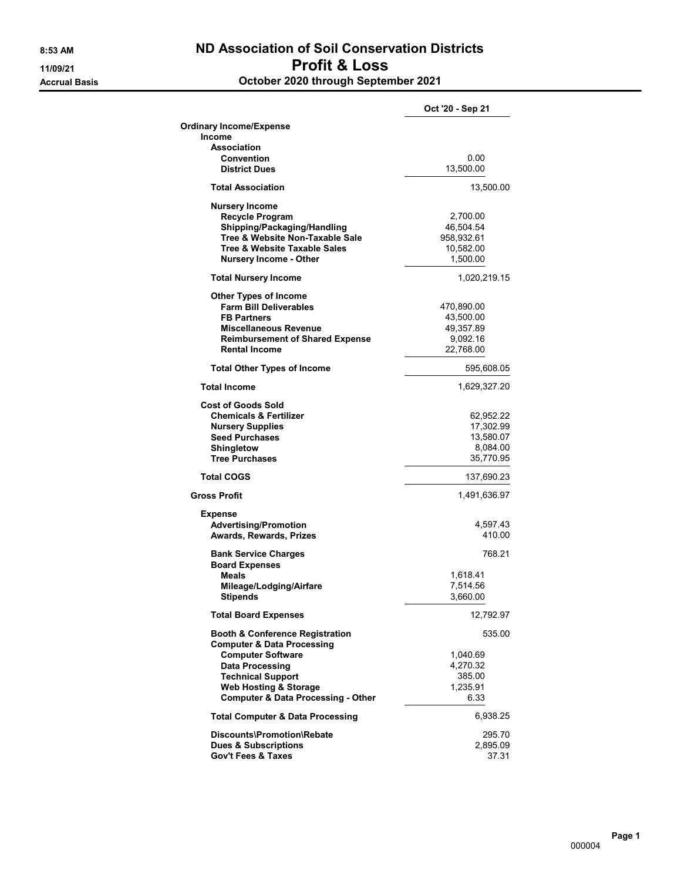#### 8:53 AM ND Association of Soil Conservation Districts 11/09/21 Profit & Loss Accrual Basis October 2020 through September 2021

|                                                                                   | Oct '20 - Sep 21        |
|-----------------------------------------------------------------------------------|-------------------------|
| <b>Ordinary Income/Expense</b>                                                    |                         |
| Income                                                                            |                         |
| Association                                                                       |                         |
| Convention<br><b>District Dues</b>                                                | 0.00<br>13,500.00       |
|                                                                                   |                         |
| <b>Total Association</b>                                                          | 13,500.00               |
| <b>Nursery Income</b>                                                             |                         |
| <b>Recycle Program</b>                                                            | 2,700.00                |
| Shipping/Packaging/Handling<br>Tree & Website Non-Taxable Sale                    | 46,504.54               |
| Tree & Website Taxable Sales                                                      | 958,932.61<br>10,582.00 |
| <b>Nursery Income - Other</b>                                                     | 1,500.00                |
| <b>Total Nursery Income</b>                                                       | 1,020,219.15            |
|                                                                                   |                         |
| <b>Other Types of Income</b><br><b>Farm Bill Deliverables</b>                     |                         |
| <b>FB Partners</b>                                                                | 470,890.00<br>43,500.00 |
| <b>Miscellaneous Revenue</b>                                                      | 49,357.89               |
| <b>Reimbursement of Shared Expense</b>                                            | 9,092.16                |
| <b>Rental Income</b>                                                              | 22,768.00               |
| <b>Total Other Types of Income</b>                                                | 595,608.05              |
| <b>Total Income</b>                                                               | 1,629,327.20            |
| <b>Cost of Goods Sold</b>                                                         |                         |
| <b>Chemicals &amp; Fertilizer</b>                                                 | 62,952.22               |
| <b>Nursery Supplies</b>                                                           | 17,302.99               |
| <b>Seed Purchases</b>                                                             | 13,580.07               |
| Shingletow                                                                        | 8,084.00                |
| <b>Tree Purchases</b>                                                             | 35,770.95               |
| <b>Total COGS</b>                                                                 | 137,690.23              |
| <b>Gross Profit</b>                                                               | 1,491,636.97            |
| <b>Expense</b>                                                                    |                         |
| <b>Advertising/Promotion</b>                                                      | 4,597.43                |
| Awards, Rewards, Prizes                                                           | 410.00                  |
| <b>Bank Service Charges</b>                                                       | 768.21                  |
| <b>Board Expenses</b>                                                             |                         |
| <b>Meals</b>                                                                      | 1,618.41                |
| Mileage/Lodging/Airfare                                                           | 7,514.56                |
| <b>Stipends</b>                                                                   | 3,660.00                |
| <b>Total Board Expenses</b>                                                       | 12,792.97               |
| <b>Booth &amp; Conference Registration</b>                                        | 535.00                  |
| <b>Computer &amp; Data Processing</b>                                             |                         |
| <b>Computer Software</b>                                                          | 1,040.69                |
| <b>Data Processing</b>                                                            | 4,270.32                |
| <b>Technical Support</b>                                                          | 385.00                  |
| <b>Web Hosting &amp; Storage</b><br><b>Computer &amp; Data Processing - Other</b> | 1,235.91<br>6.33        |
| <b>Total Computer &amp; Data Processing</b>                                       | 6,938.25                |
|                                                                                   |                         |
| Discounts\Promotion\Rebate<br><b>Dues &amp; Subscriptions</b>                     | 295.70<br>2,895.09      |
| <b>Gov't Fees &amp; Taxes</b>                                                     | 37.31                   |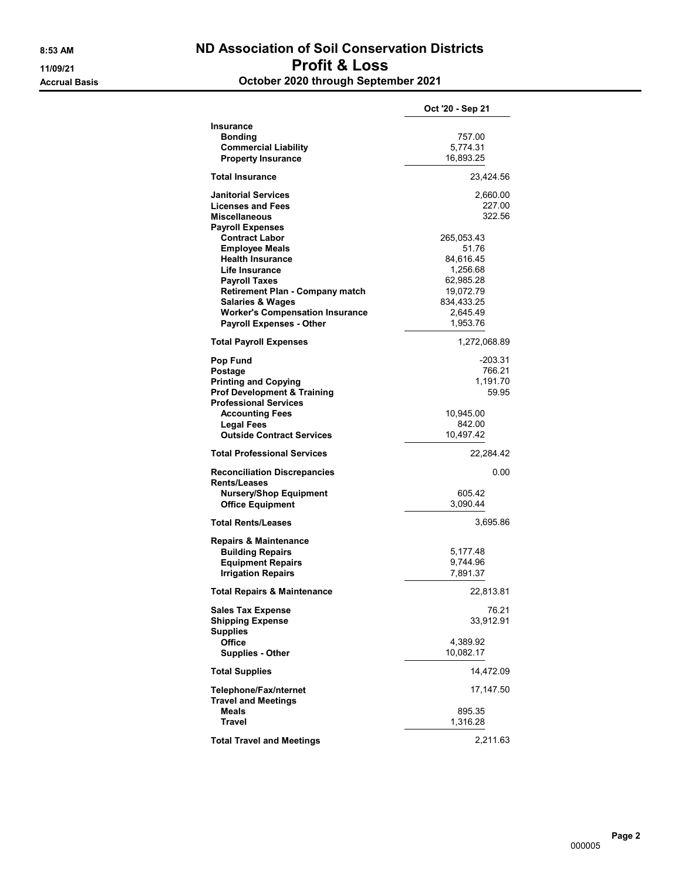#### 8:53 AM ND Association of Soil Conservation Districts 11/09/21 Profit & Loss Accrual Basis October 2020 through September 2021

|                                                     | Oct '20 - Sep 21   |  |
|-----------------------------------------------------|--------------------|--|
| <b>Insurance</b>                                    |                    |  |
| <b>Bonding</b>                                      | 757.00             |  |
| <b>Commercial Liability</b>                         | 5,774.31           |  |
| <b>Property Insurance</b>                           | 16,893.25          |  |
| <b>Total Insurance</b>                              | 23,424.56          |  |
| <b>Janitorial Services</b>                          | 2,660.00           |  |
| <b>Licenses and Fees</b>                            | 227.00             |  |
| <b>Miscellaneous</b>                                | 322.56             |  |
| <b>Payroll Expenses</b>                             |                    |  |
| <b>Contract Labor</b>                               | 265,053.43         |  |
| <b>Employee Meals</b>                               | 51.76              |  |
| <b>Health Insurance</b>                             | 84,616.45          |  |
| Life Insurance                                      | 1,256.68           |  |
| <b>Payroll Taxes</b>                                | 62,985.28          |  |
| <b>Retirement Plan - Company match</b>              | 19,072.79          |  |
| <b>Salaries &amp; Wages</b>                         | 834,433.25         |  |
| <b>Worker's Compensation Insurance</b>              | 2,645.49           |  |
| <b>Payroll Expenses - Other</b>                     | 1,953.76           |  |
| <b>Total Payroll Expenses</b>                       | 1,272,068.89       |  |
| Pop Fund                                            | $-203.31$          |  |
| Postage                                             | 766.21             |  |
| <b>Printing and Copying</b>                         | 1,191.70           |  |
| <b>Prof Development &amp; Training</b>              | 59.95              |  |
| <b>Professional Services</b>                        |                    |  |
| <b>Accounting Fees</b>                              | 10,945.00          |  |
| <b>Legal Fees</b>                                   | 842.00             |  |
| <b>Outside Contract Services</b>                    | 10,497.42          |  |
| <b>Total Professional Services</b>                  | 22,284.42          |  |
| <b>Reconciliation Discrepancies</b>                 | 0.00               |  |
| <b>Rents/Leases</b>                                 |                    |  |
| <b>Nursery/Shop Equipment</b>                       | 605.42             |  |
| <b>Office Equipment</b>                             | 3,090.44           |  |
| <b>Total Rents/Leases</b>                           | 3,695.86           |  |
| <b>Repairs &amp; Maintenance</b>                    |                    |  |
| <b>Building Repairs</b>                             | 5,177.48           |  |
| <b>Equipment Repairs</b>                            | 9,744.96           |  |
| <b>Irrigation Repairs</b>                           | 7,891.37           |  |
| <b>Total Repairs &amp; Maintenance</b>              | 22,813.81          |  |
|                                                     |                    |  |
| <b>Sales Tax Expense</b><br><b>Shipping Expense</b> | 76.21<br>33,912.91 |  |
| <b>Supplies</b><br>Office                           | 4,389.92           |  |
| <b>Supplies - Other</b>                             | 10,082.17          |  |
|                                                     |                    |  |
| <b>Total Supplies</b>                               | 14,472.09          |  |
| Telephone/Fax/nternet<br><b>Travel and Meetings</b> | 17,147.50          |  |
| Meals                                               | 895.35             |  |
| <b>Travel</b>                                       | 1,316.28           |  |
|                                                     |                    |  |
| <b>Total Travel and Meetings</b>                    | 2,211.63           |  |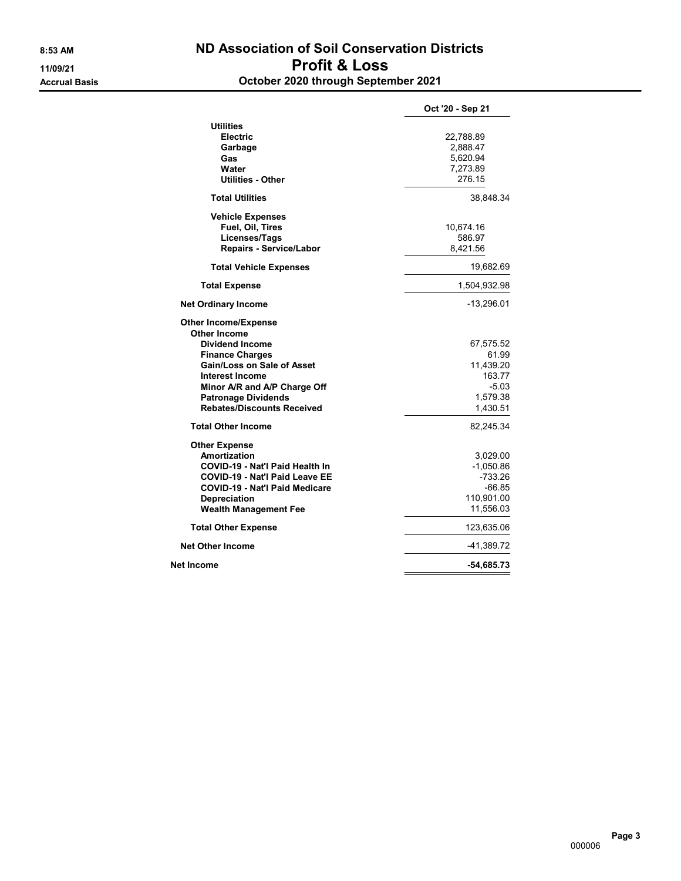#### 8:53 AM ND Association of Soil Conservation Districts 11/09/21 Profit & Loss Accrual Basis October 2020 through September 2021

|                                                                                                                                                                                                                                                                          | Oct '20 - Sep 21                                                             |
|--------------------------------------------------------------------------------------------------------------------------------------------------------------------------------------------------------------------------------------------------------------------------|------------------------------------------------------------------------------|
| <b>Utilities</b><br><b>Electric</b><br>Garbage<br>Gas<br>Water<br><b>Utilities - Other</b>                                                                                                                                                                               | 22,788.89<br>2,888.47<br>5,620.94<br>7,273.89<br>276.15                      |
| <b>Total Utilities</b>                                                                                                                                                                                                                                                   | 38,848.34                                                                    |
| <b>Vehicle Expenses</b><br>Fuel, Oil, Tires<br>Licenses/Tags<br>Repairs - Service/Labor                                                                                                                                                                                  | 10,674.16<br>586.97<br>8,421.56                                              |
| <b>Total Vehicle Expenses</b>                                                                                                                                                                                                                                            | 19,682.69                                                                    |
| <b>Total Expense</b>                                                                                                                                                                                                                                                     | 1,504,932.98                                                                 |
| <b>Net Ordinary Income</b>                                                                                                                                                                                                                                               | -13,296.01                                                                   |
| <b>Other Income/Expense</b><br><b>Other Income</b><br><b>Dividend Income</b><br><b>Finance Charges</b><br><b>Gain/Loss on Sale of Asset</b><br><b>Interest Income</b><br>Minor A/R and A/P Charge Off<br><b>Patronage Dividends</b><br><b>Rebates/Discounts Received</b> | 67,575.52<br>61.99<br>11,439.20<br>163.77<br>$-5.03$<br>1,579.38<br>1,430.51 |
| <b>Total Other Income</b>                                                                                                                                                                                                                                                | 82,245.34                                                                    |
| <b>Other Expense</b><br>Amortization<br>COVID-19 - Nat'l Paid Health In<br><b>COVID-19 - Nat'l Paid Leave EE</b><br><b>COVID-19 - Nat'l Paid Medicare</b><br><b>Depreciation</b><br><b>Wealth Management Fee</b>                                                         | 3,029.00<br>$-1,050.86$<br>$-733.26$<br>-66.85<br>110,901.00<br>11,556.03    |
| <b>Total Other Expense</b>                                                                                                                                                                                                                                               | 123,635.06                                                                   |
| <b>Net Other Income</b>                                                                                                                                                                                                                                                  | -41,389.72                                                                   |
| Net Income                                                                                                                                                                                                                                                               | -54,685.73                                                                   |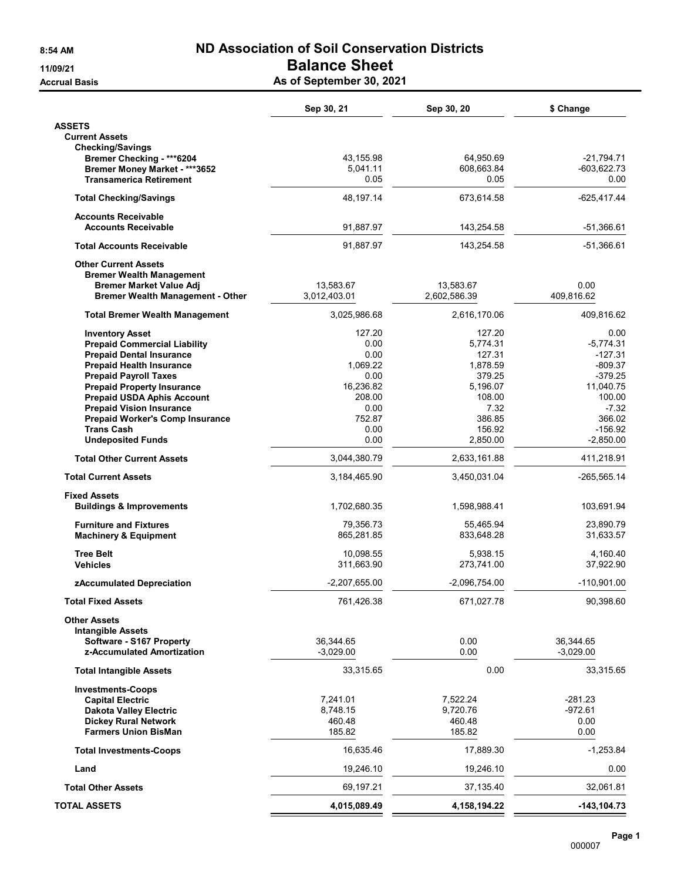# 8:54 AM ND Association of Soil Conservation Districts 11/09/21 Balance Sheet

Accrual Basis **As of September 30, 2021** 

|                                                                        | Sep 30, 21               | Sep 30, 20         | \$ Change                |
|------------------------------------------------------------------------|--------------------------|--------------------|--------------------------|
| <b>ASSETS</b>                                                          |                          |                    |                          |
| <b>Current Assets</b>                                                  |                          |                    |                          |
| <b>Checking/Savings</b><br>Bremer Checking - ***6204                   | 43,155.98                | 64,950.69          | $-21,794.71$             |
| Bremer Money Market - ***3652                                          | 5,041.11                 | 608,663.84         | $-603,622.73$            |
| <b>Transamerica Retirement</b>                                         | 0.05                     | 0.05               | 0.00                     |
| <b>Total Checking/Savings</b>                                          | 48,197.14                | 673,614.58         | -625,417.44              |
| <b>Accounts Receivable</b><br><b>Accounts Receivable</b>               | 91,887.97                | 143,254.58         | $-51.366.61$             |
| <b>Total Accounts Receivable</b>                                       | 91,887.97                | 143,254.58         | $-51,366.61$             |
| <b>Other Current Assets</b>                                            |                          |                    |                          |
| <b>Bremer Wealth Management</b>                                        |                          |                    |                          |
| <b>Bremer Market Value Adj</b>                                         | 13,583.67                | 13,583.67          | 0.00                     |
| <b>Bremer Wealth Management - Other</b>                                | 3,012,403.01             | 2,602,586.39       | 409,816.62               |
| <b>Total Bremer Wealth Management</b>                                  | 3,025,986.68             | 2,616,170.06       | 409.816.62               |
| <b>Inventory Asset</b>                                                 | 127.20                   | 127.20             | 0.00                     |
| <b>Prepaid Commercial Liability</b><br><b>Prepaid Dental Insurance</b> | 0.00<br>0.00             | 5,774.31<br>127.31 | -5,774.31<br>$-127.31$   |
| <b>Prepaid Health Insurance</b>                                        | 1,069.22                 | 1,878.59           | $-809.37$                |
| <b>Prepaid Payroll Taxes</b>                                           | 0.00                     | 379.25             | $-379.25$                |
| <b>Prepaid Property Insurance</b>                                      | 16,236.82                | 5,196.07           | 11,040.75                |
| <b>Prepaid USDA Aphis Account</b>                                      | 208.00                   | 108.00             | 100.00                   |
| <b>Prepaid Vision Insurance</b>                                        | 0.00                     | 7.32               | $-7.32$                  |
| <b>Prepaid Worker's Comp Insurance</b><br><b>Trans Cash</b>            | 752.87<br>0.00           | 386.85<br>156.92   | 366.02<br>$-156.92$      |
| <b>Undeposited Funds</b>                                               | 0.00                     | 2,850.00           | $-2,850.00$              |
| <b>Total Other Current Assets</b>                                      | 3,044,380.79             | 2,633,161.88       | 411,218.91               |
| <b>Total Current Assets</b>                                            | 3,184,465.90             | 3,450,031.04       | $-265,565.14$            |
| <b>Fixed Assets</b>                                                    |                          |                    |                          |
| <b>Buildings &amp; Improvements</b>                                    | 1,702,680.35             | 1,598,988.41       | 103,691.94               |
| <b>Furniture and Fixtures</b>                                          | 79,356.73                | 55,465.94          | 23,890.79                |
| <b>Machinery &amp; Equipment</b>                                       | 865,281.85               | 833,648.28         | 31,633.57                |
| <b>Tree Belt</b>                                                       | 10.098.55                | 5,938.15           | 4,160.40                 |
| <b>Vehicles</b>                                                        | 311,663.90               | 273,741.00         | 37,922.90                |
| zAccumulated Depreciation                                              | -2,207,655.00            | $-2,096,754.00$    | $-110,901.00$            |
| <b>Total Fixed Assets</b>                                              | 761,426.38               | 671,027.78         | 90,398.60                |
| <b>Other Assets</b>                                                    |                          |                    |                          |
| <b>Intangible Assets</b>                                               |                          |                    |                          |
| Software - S167 Property<br>z-Accumulated Amortization                 | 36,344.65<br>$-3,029.00$ | 0.00<br>0.00       | 36,344.65<br>$-3,029.00$ |
| <b>Total Intangible Assets</b>                                         | 33,315.65                | 0.00               | 33,315.65                |
| <b>Investments-Coops</b>                                               |                          |                    |                          |
| <b>Capital Electric</b>                                                | 7,241.01                 | 7,522.24           | $-281.23$                |
| <b>Dakota Valley Electric</b>                                          | 8,748.15                 | 9,720.76           | $-972.61$                |
| <b>Dickey Rural Network</b>                                            | 460.48                   | 460.48             | 0.00                     |
| <b>Farmers Union BisMan</b>                                            | 185.82                   | 185.82             | 0.00                     |
| <b>Total Investments-Coops</b>                                         | 16,635.46                | 17,889.30          | $-1,253.84$              |
| Land                                                                   | 19,246.10                | 19,246.10          | 0.00                     |
| <b>Total Other Assets</b>                                              | 69,197.21                | 37,135.40          | 32,061.81                |
| <b>TOTAL ASSETS</b>                                                    | 4,015,089.49             | 4, 158, 194. 22    | $-143, 104.73$           |